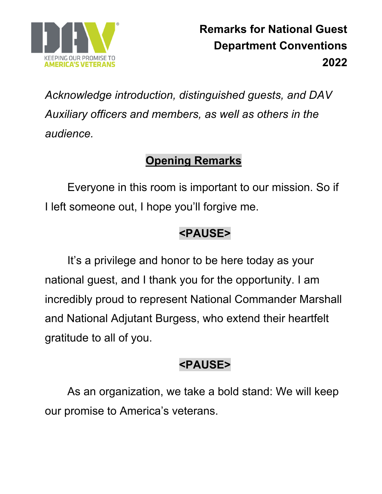

*Acknowledge introduction, distinguished guests, and DAV Auxiliary officers and members, as well as others in the audience.* 

# **Opening Remarks**

Everyone in this room is important to our mission. So if I left someone out, I hope you'll forgive me.

## **<PAUSE>**

It's a privilege and honor to be here today as your national guest, and I thank you for the opportunity. I am incredibly proud to represent National Commander Marshall and National Adjutant Burgess, who extend their heartfelt gratitude to all of you.

# **<PAUSE>**

As an organization, we take a bold stand: We will keep our promise to America's veterans.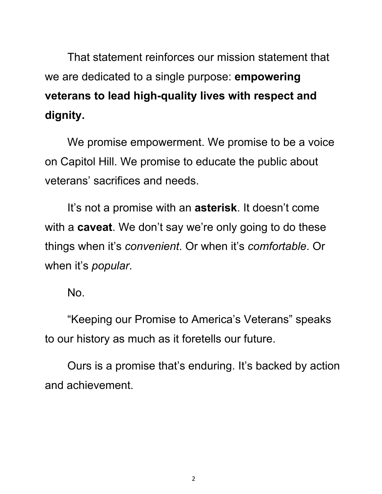That statement reinforces our mission statement that we are dedicated to a single purpose: **empowering veterans to lead high-quality lives with respect and dignity.**

We promise empowerment. We promise to be a voice on Capitol Hill. We promise to educate the public about veterans' sacrifices and needs.

It's not a promise with an **asterisk**. It doesn't come with a **caveat**. We don't say we're only going to do these things when it's *convenient*. Or when it's *comfortable*. Or when it's *popular*.

No.

"Keeping our Promise to America's Veterans" speaks to our history as much as it foretells our future.

Ours is a promise that's enduring. It's backed by action and achievement.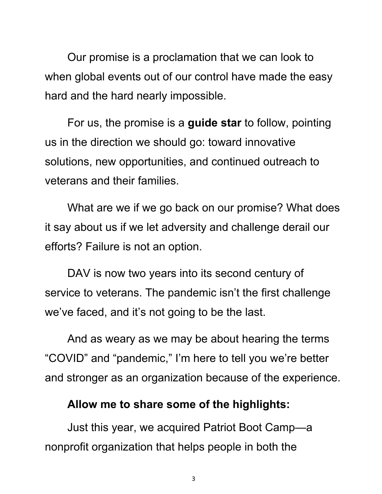Our promise is a proclamation that we can look to when global events out of our control have made the easy hard and the hard nearly impossible.

For us, the promise is a **guide star** to follow, pointing us in the direction we should go: toward innovative solutions, new opportunities, and continued outreach to veterans and their families.

What are we if we go back on our promise? What does it say about us if we let adversity and challenge derail our efforts? Failure is not an option.

DAV is now two years into its second century of service to veterans. The pandemic isn't the first challenge we've faced, and it's not going to be the last.

And as weary as we may be about hearing the terms "COVID" and "pandemic," I'm here to tell you we're better and stronger as an organization because of the experience.

#### **Allow me to share some of the highlights:**

 Just this year, we acquired Patriot Boot Camp—a nonprofit organization that helps people in both the

3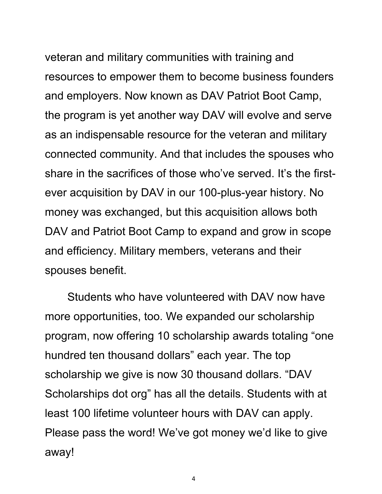veteran and military communities with training and resources to empower them to become business founders and employers. Now known as DAV Patriot Boot Camp, the program is yet another way DAV will evolve and serve as an indispensable resource for the veteran and military connected community. And that includes the spouses who share in the sacrifices of those who've served. It's the firstever acquisition by DAV in our 100-plus-year history. No money was exchanged, but this acquisition allows both DAV and Patriot Boot Camp to expand and grow in scope and efficiency. Military members, veterans and their spouses benefit.

 Students who have volunteered with DAV now have more opportunities, too. We expanded our scholarship program, now offering 10 scholarship awards totaling "one hundred ten thousand dollars" each year. The top scholarship we give is now 30 thousand dollars. "DAV Scholarships dot org" has all the details. Students with at least 100 lifetime volunteer hours with DAV can apply. Please pass the word! We've got money we'd like to give away!

4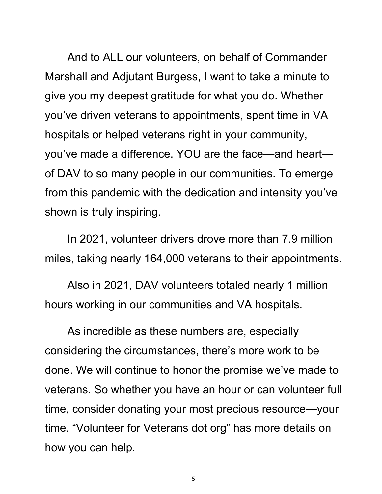And to ALL our volunteers, on behalf of Commander Marshall and Adjutant Burgess, I want to take a minute to give you my deepest gratitude for what you do. Whether you've driven veterans to appointments, spent time in VA hospitals or helped veterans right in your community, you've made a difference. YOU are the face—and heart of DAV to so many people in our communities. To emerge from this pandemic with the dedication and intensity you've shown is truly inspiring.

In 2021, volunteer drivers drove more than 7.9 million miles, taking nearly 164,000 veterans to their appointments.

 Also in 2021, DAV volunteers totaled nearly 1 million hours working in our communities and VA hospitals.

As incredible as these numbers are, especially considering the circumstances, there's more work to be done. We will continue to honor the promise we've made to veterans. So whether you have an hour or can volunteer full time, consider donating your most precious resource—your time. "Volunteer for Veterans dot org" has more details on how you can help.

5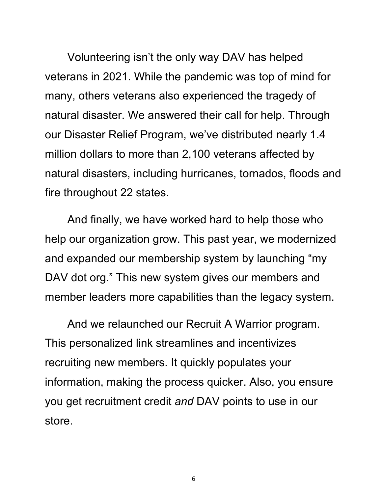Volunteering isn't the only way DAV has helped veterans in 2021. While the pandemic was top of mind for many, others veterans also experienced the tragedy of natural disaster. We answered their call for help. Through our Disaster Relief Program, we've distributed nearly 1.4 million dollars to more than 2,100 veterans affected by natural disasters, including hurricanes, tornados, floods and fire throughout 22 states.

 And finally, we have worked hard to help those who help our organization grow. This past year, we modernized and expanded our membership system by launching "my DAV dot org." This new system gives our members and member leaders more capabilities than the legacy system.

And we relaunched our Recruit A Warrior program. This personalized link streamlines and incentivizes recruiting new members. It quickly populates your information, making the process quicker. Also, you ensure you get recruitment credit *and* DAV points to use in our store.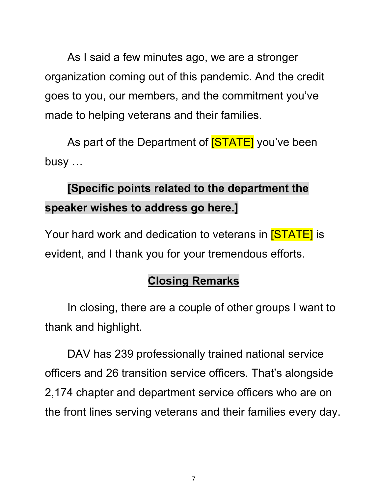As I said a few minutes ago, we are a stronger organization coming out of this pandemic. And the credit goes to you, our members, and the commitment you've made to helping veterans and their families.

As part of the Department of **[STATE]** you've been busy …

# **[Specific points related to the department the speaker wishes to address go here.]**

Your hard work and dedication to veterans in [STATE] is evident, and I thank you for your tremendous efforts.

## **Closing Remarks**

In closing, there are a couple of other groups I want to thank and highlight.

DAV has 239 professionally trained national service officers and 26 transition service officers. That's alongside 2,174 chapter and department service officers who are on the front lines serving veterans and their families every day.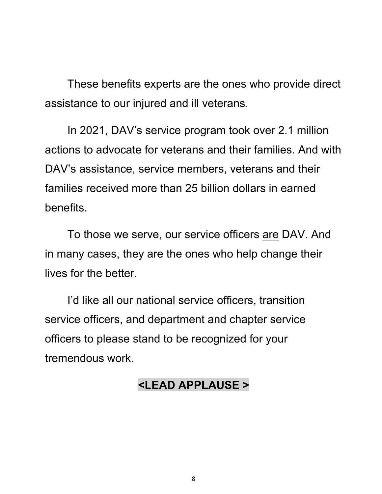These benefits experts are the ones who provide direct assistance to our injured and ill veterans.

 In 2021, DAV's service program took over 2.1 million actions to advocate for veterans and their families. And with DAV's assistance, service members, veterans and their families received more than 25 billion dollars in earned benefits.

To those we serve, our service officers are DAV. And in many cases, they are the ones who help change their lives for the better.

 I'd like all our national service officers, transition service officers, and department and chapter service officers to please stand to be recognized for your tremendous work.

### **<LEAD APPLAUSE >**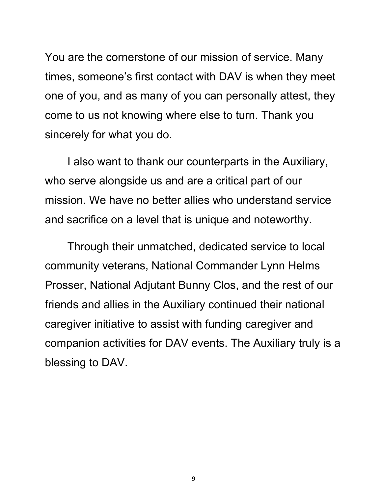You are the cornerstone of our mission of service. Many times, someone's first contact with DAV is when they meet one of you, and as many of you can personally attest, they come to us not knowing where else to turn. Thank you sincerely for what you do.

I also want to thank our counterparts in the Auxiliary, who serve alongside us and are a critical part of our mission. We have no better allies who understand service and sacrifice on a level that is unique and noteworthy.

Through their unmatched, dedicated service to local community veterans, National Commander Lynn Helms Prosser, National Adjutant Bunny Clos, and the rest of our friends and allies in the Auxiliary continued their national caregiver initiative to assist with funding caregiver and companion activities for DAV events. The Auxiliary truly is a blessing to DAV.